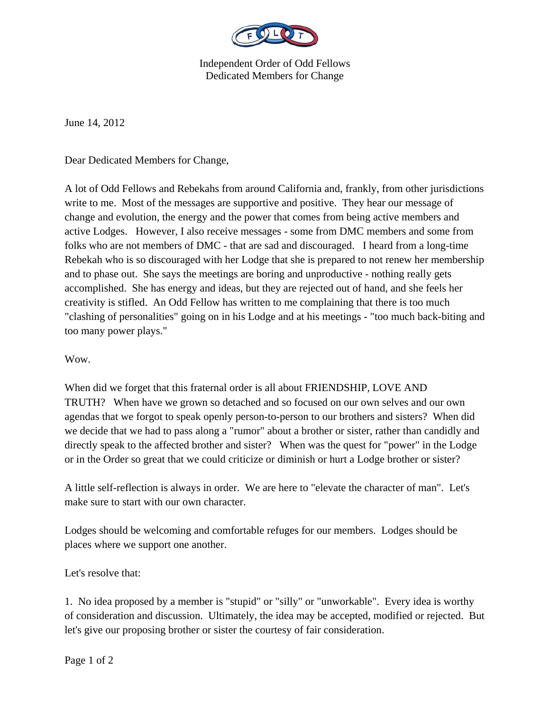

Independent Order of Odd Fellows Dedicated Members for Change

June 14, 2012

Dear Dedicated Members for Change,

A lot of Odd Fellows and Rebekahs from around California and, frankly, from other jurisdictions write to me. Most of the messages are supportive and positive. They hear our message of change and evolution, the energy and the power that comes from being active members and active Lodges. However, I also receive messages - some from DMC members and some from folks who are not members of DMC - that are sad and discouraged. I heard from a long-time Rebekah who is so discouraged with her Lodge that she is prepared to not renew her membership and to phase out. She says the meetings are boring and unproductive - nothing really gets accomplished. She has energy and ideas, but they are rejected out of hand, and she feels her creativity is stifled. An Odd Fellow has written to me complaining that there is too much "clashing of personalities" going on in his Lodge and at his meetings - "too much back-biting and too many power plays."

Wow.

When did we forget that this fraternal order is all about FRIENDSHIP, LOVE AND TRUTH? When have we grown so detached and so focused on our own selves and our own agendas that we forgot to speak openly person-to-person to our brothers and sisters? When did we decide that we had to pass along a "rumor" about a brother or sister, rather than candidly and directly speak to the affected brother and sister? When was the quest for "power" in the Lodge or in the Order so great that we could criticize or diminish or hurt a Lodge brother or sister?

A little self-reflection is always in order. We are here to "elevate the character of man". Let's make sure to start with our own character.

Lodges should be welcoming and comfortable refuges for our members. Lodges should be places where we support one another.

Let's resolve that:

1. No idea proposed by a member is "stupid" or "silly" or "unworkable". Every idea is worthy of consideration and discussion. Ultimately, the idea may be accepted, modified or rejected. But let's give our proposing brother or sister the courtesy of fair consideration.